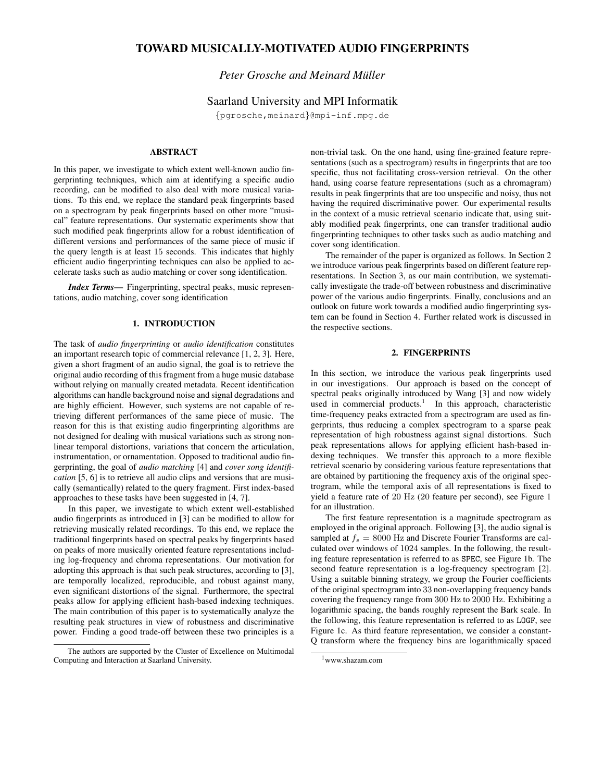# **TOWARD MUSICALLY-MOTIVATED AUDIO FINGERPRINTS**

## *Peter Grosche and Meinard Muller ¨*

## Saarland University and MPI Informatik

{pgrosche,meinard}@mpi-inf.mpg.de

## **ABSTRACT**

In this paper, we investigate to which extent well-known audio fingerprinting techniques, which aim at identifying a specific audio recording, can be modified to also deal with more musical variations. To this end, we replace the standard peak fingerprints based on a spectrogram by peak fingerprints based on other more "musical" feature representations. Our systematic experiments show that such modified peak fingerprints allow for a robust identification of different versions and performances of the same piece of music if the query length is at least 15 seconds. This indicates that highly efficient audio fingerprinting techniques can also be applied to accelerate tasks such as audio matching or cover song identification.

*Index Terms***—** Fingerprinting, spectral peaks, music representations, audio matching, cover song identification

### **1. INTRODUCTION**

The task of *audio fingerprinting* or *audio identification* constitutes an important research topic of commercial relevance [1, 2, 3]. Here, given a short fragment of an audio signal, the goal is to retrieve the original audio recording of this fragment from a huge music database without relying on manually created metadata. Recent identification algorithms can handle background noise and signal degradations and are highly efficient. However, such systems are not capable of retrieving different performances of the same piece of music. The reason for this is that existing audio fingerprinting algorithms are not designed for dealing with musical variations such as strong nonlinear temporal distortions, variations that concern the articulation, instrumentation, or ornamentation. Opposed to traditional audio fingerprinting, the goal of *audio matching* [4] and *cover song identification* [5, 6] is to retrieve all audio clips and versions that are musically (semantically) related to the query fragment. First index-based approaches to these tasks have been suggested in [4, 7].

In this paper, we investigate to which extent well-established audio fingerprints as introduced in [3] can be modified to allow for retrieving musically related recordings. To this end, we replace the traditional fingerprints based on spectral peaks by fingerprints based on peaks of more musically oriented feature representations including log-frequency and chroma representations. Our motivation for adopting this approach is that such peak structures, according to [3], are temporally localized, reproducible, and robust against many, even significant distortions of the signal. Furthermore, the spectral peaks allow for applying efficient hash-based indexing techniques. The main contribution of this paper is to systematically analyze the resulting peak structures in view of robustness and discriminative power. Finding a good trade-off between these two principles is a non-trivial task. On the one hand, using fine-grained feature representations (such as a spectrogram) results in fingerprints that are too specific, thus not facilitating cross-version retrieval. On the other hand, using coarse feature representations (such as a chromagram) results in peak fingerprints that are too unspecific and noisy, thus not having the required discriminative power. Our experimental results in the context of a music retrieval scenario indicate that, using suitably modified peak fingerprints, one can transfer traditional audio fingerprinting techniques to other tasks such as audio matching and cover song identification.

The remainder of the paper is organized as follows. In Section 2 we introduce various peak fingerprints based on different feature representations. In Section 3, as our main contribution, we systematically investigate the trade-off between robustness and discriminative power of the various audio fingerprints. Finally, conclusions and an outlook on future work towards a modified audio fingerprinting system can be found in Section 4. Further related work is discussed in the respective sections.

### **2. FINGERPRINTS**

In this section, we introduce the various peak fingerprints used in our investigations. Our approach is based on the concept of spectral peaks originally introduced by Wang [3] and now widely used in commercial products.<sup>1</sup> In this approach, characteristic time-frequency peaks extracted from a spectrogram are used as fingerprints, thus reducing a complex spectrogram to a sparse peak representation of high robustness against signal distortions. Such peak representations allows for applying efficient hash-based indexing techniques. We transfer this approach to a more flexible retrieval scenario by considering various feature representations that are obtained by partitioning the frequency axis of the original spectrogram, while the temporal axis of all representations is fixed to yield a feature rate of 20 Hz (20 feature per second), see Figure 1 for an illustration.

The first feature representation is a magnitude spectrogram as employed in the original approach. Following [3], the audio signal is sampled at  $f_s = 8000$  Hz and Discrete Fourier Transforms are calculated over windows of 1024 samples. In the following, the resulting feature representation is referred to as SPEC, see Figure 1b. The second feature representation is a log-frequency spectrogram [2]. Using a suitable binning strategy, we group the Fourier coefficients of the original spectrogram into 33 non-overlapping frequency bands covering the frequency range from 300 Hz to 2000 Hz. Exhibiting a logarithmic spacing, the bands roughly represent the Bark scale. In the following, this feature representation is referred to as LOGF, see Figure 1c. As third feature representation, we consider a constant-Q transform where the frequency bins are logarithmically spaced

The authors are supported by the Cluster of Excellence on Multimodal Computing and Interaction at Saarland University.

<sup>1</sup>www.shazam.com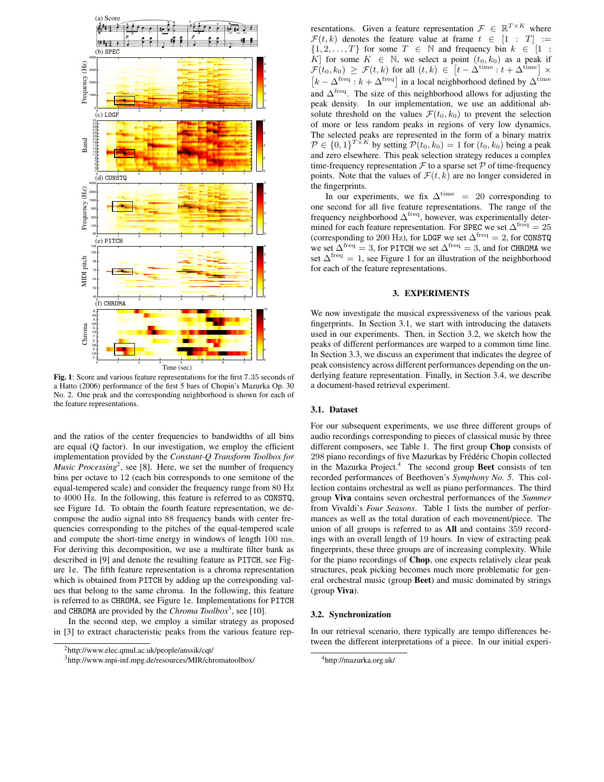

**Fig. 1**: Score and various feature representations for the first 7.35 seconds of a Hatto (2006) performance of the first 5 bars of Chopin's Mazurka Op. 30 No. 2. One peak and the corresponding neighborhood is shown for each of the feature representations.

and the ratios of the center frequencies to bandwidths of all bins are equal (Q factor). In our investigation, we employ the efficient implementation provided by the *Constant-Q Transform Toolbox for Music Processing*<sup>2</sup>, see [8]. Here, we set the number of frequency bins per octave to 12 (each bin corresponds to one semitone of the equal-tempered scale) and consider the frequency range from 80 Hz to 4000 Hz. In the following, this feature is referred to as CONSTQ, see Figure 1d. To obtain the fourth feature representation, we decompose the audio signal into 88 frequency bands with center frequencies corresponding to the pitches of the equal-tempered scale and compute the short-time energy in windows of length 100 ms. For deriving this decomposition, we use a multirate filter bank as described in [9] and denote the resulting feature as PITCH, see Figure 1e. The fifth feature representation is a chroma representation which is obtained from PITCH by adding up the corresponding values that belong to the same chroma. In the following, this feature is referred to as CHROMA, see Figure 1e. Implementations for PITCH and CHROMA are provided by the *Chroma Toolbox*<sup>3</sup> , see [10].

In the second step, we employ a similar strategy as proposed in [3] to extract characteristic peaks from the various feature rep-

resentations. Given a feature representation  $\mathcal{F} \in \mathbb{R}^{T \times K}$  where  $\mathcal{F}(t, k)$  denotes the feature value at frame  $t \in [1 : T] :=$  $\{1, 2, \ldots, T\}$  for some  $T \in \mathbb{N}$  and frequency bin  $k \in [1 :$ K for some  $K \in \mathbb{N}$ , we select a point  $(t_0, k_0)$  as a peak if  $\mathcal{F}(t_0,k_0) \geq \mathcal{F}(t,k)$  for all  $(t,k) \in \left[t - \Delta^{\text{time}} : t + \Delta^{\text{time}}\right] \times$  $\left[k - \Delta^{\text{freq}} : k + \Delta^{\text{freq}}\right]$  in a local neighborhood defined by  $\Delta^{\text{time}}$ and  $\Delta^{\text{freq}}$ . The size of this neighborhood allows for adjusting the peak density. In our implementation, we use an additional absolute threshold on the values  $\mathcal{F}(t_0, k_0)$  to prevent the selection of more or less random peaks in regions of very low dynamics. The selected peaks are represented in the form of a binary matrix  $\mathcal{P} \in \{0,1\}^{T \times K}$  by setting  $\mathcal{P}(t_0, k_0) = 1$  for  $(t_0, k_0)$  being a peak and zero elsewhere. This peak selection strategy reduces a complex time-frequency representation  $\mathcal F$  to a sparse set  $\mathcal P$  of time-frequency points. Note that the values of  $\mathcal{F}(t, k)$  are no longer considered in the fingerprints.

In our experiments, we fix  $\Delta^{\text{time}} = 20$  corresponding to one second for all five feature representations. The range of the frequency neighborhood  $\Delta^{\text{freq}}$ , however, was experimentally determined for each feature representation. For SPEC we set  $\Delta^{\text{freq}} = 25$ (corresponding to 200 Hz), for LOGF we set  $\Delta^{\text{freq}} = 2$ , for CONSTQ we set  $\Delta^{\text{freq}} = 3$ , for PITCH we set  $\Delta^{\text{freq}} = 3$ , and for CHROMA we set  $\Delta^{\text{freq}} = 1$ , see Figure 1 for an illustration of the neighborhood for each of the feature representations.

### **3. EXPERIMENTS**

We now investigate the musical expressiveness of the various peak fingerprints. In Section 3.1, we start with introducing the datasets used in our experiments. Then, in Section 3.2, we sketch how the peaks of different performances are warped to a common time line. In Section 3.3, we discuss an experiment that indicates the degree of peak consistency across different performances depending on the underlying feature representation. Finally, in Section 3.4, we describe a document-based retrieval experiment.

#### **3.1. Dataset**

For our subsequent experiments, we use three different groups of audio recordings corresponding to pieces of classical music by three different composers, see Table 1. The first group **Chop** consists of 298 piano recordings of five Mazurkas by Frédéric Chopin collected in the Mazurka Project.<sup>4</sup> The second group **Beet** consists of ten recorded performances of Beethoven's *Symphony No. 5*. This collection contains orchestral as well as piano performances. The third group **Viva** contains seven orchestral performances of the *Summer* from Vivaldi's *Four Seasons*. Table 1 lists the number of performances as well as the total duration of each movement/piece. The union of all groups is referred to as **All** and contains 359 recordings with an overall length of 19 hours. In view of extracting peak fingerprints, these three groups are of increasing complexity. While for the piano recordings of **Chop**, one expects relatively clear peak structures, peak picking becomes much more problematic for general orchestral music (group **Beet**) and music dominated by strings (group **Viva**).

#### **3.2. Synchronization**

In our retrieval scenario, there typically are tempo differences between the different interpretations of a piece. In our initial experi-

<sup>2</sup>http://www.elec.qmul.ac.uk/people/anssik/cqt/

<sup>3</sup>http://www.mpi-inf.mpg.de/resources/MIR/chromatoolbox/

<sup>4</sup>http://mazurka.org.uk/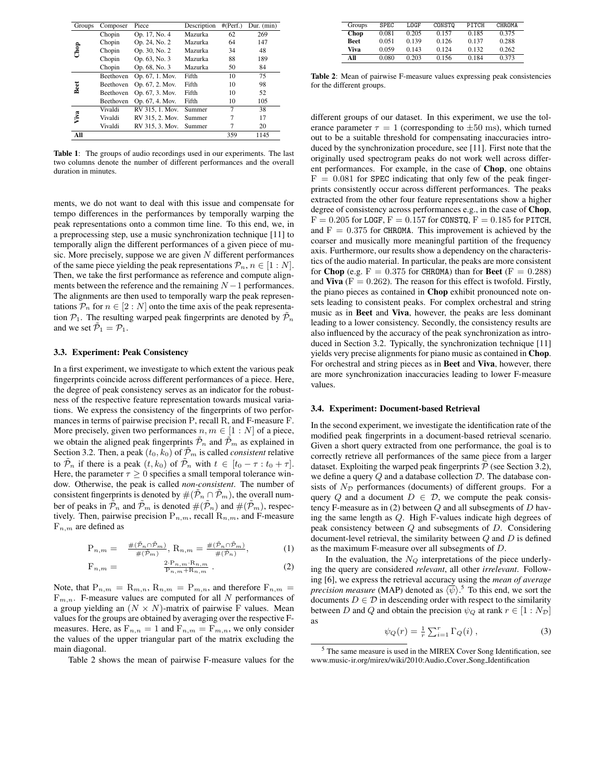| 62<br>Op. 17, No. 4<br>Mazurka<br>269<br>Chopin<br>Op. 24, No. 2<br>64<br>147<br>Chopin<br>Mazurka<br>Chop<br>48<br>Op. 30, No. 2<br>Chopin<br>34<br>Mazurka<br>Op. 63, No. 3<br>88<br>189<br>Chopin<br>Mazurka<br>84<br>Op. 68, No. 3<br>50<br>Chopin<br>Mazurka<br>Op. 67, 1. Mov.<br>75<br>Fifth<br>10<br>Beethoven<br>Beet<br>Fifth<br>98<br>Op. 67, 2. Mov.<br>10<br>Beethoven<br>Fifth<br>52<br>Op. 67, 3. Mov.<br>10<br>Beethoven |  |
|------------------------------------------------------------------------------------------------------------------------------------------------------------------------------------------------------------------------------------------------------------------------------------------------------------------------------------------------------------------------------------------------------------------------------------------|--|
|                                                                                                                                                                                                                                                                                                                                                                                                                                          |  |
|                                                                                                                                                                                                                                                                                                                                                                                                                                          |  |
|                                                                                                                                                                                                                                                                                                                                                                                                                                          |  |
|                                                                                                                                                                                                                                                                                                                                                                                                                                          |  |
|                                                                                                                                                                                                                                                                                                                                                                                                                                          |  |
|                                                                                                                                                                                                                                                                                                                                                                                                                                          |  |
|                                                                                                                                                                                                                                                                                                                                                                                                                                          |  |
|                                                                                                                                                                                                                                                                                                                                                                                                                                          |  |
| Fifth<br>10<br>105<br>Op. 67, 4. Mov.<br>Beethoven                                                                                                                                                                                                                                                                                                                                                                                       |  |
| 7<br>Vivaldi<br>RV 315, 1. Mov.<br>38<br>Summer                                                                                                                                                                                                                                                                                                                                                                                          |  |
| Viva<br>17<br>Vivaldi<br>RV 315, 2. Mov.<br>7<br>Summer                                                                                                                                                                                                                                                                                                                                                                                  |  |
| Vivaldi<br>20<br>RV 315, 3. Mov.<br>7<br>Summer                                                                                                                                                                                                                                                                                                                                                                                          |  |
| All<br>359<br>1145                                                                                                                                                                                                                                                                                                                                                                                                                       |  |

**Table 1**: The groups of audio recordings used in our experiments. The last two columns denote the number of different performances and the overall duration in minutes.

ments, we do not want to deal with this issue and compensate for tempo differences in the performances by temporally warping the peak representations onto a common time line. To this end, we, in a preprocessing step, use a music synchronization technique [11] to temporally align the different performances of a given piece of music. More precisely, suppose we are given  $N$  different performances of the same piece yielding the peak representations  $\mathcal{P}_n$ ,  $n \in [1:N]$ . Then, we take the first performance as reference and compute alignments between the reference and the remaining  $N-1$  performances. The alignments are then used to temporally warp the peak representations  $\mathcal{P}_n$  for  $n \in [2:N]$  onto the time axis of the peak representation  $\mathcal{P}_1$ . The resulting warped peak fingerprints are denoted by  $\mathcal{P}_n$ and we set  $\mathcal{P}_1 = \mathcal{P}_1$ .

## **3.3. Experiment: Peak Consistency**

In a first experiment, we investigate to which extent the various peak fingerprints coincide across different performances of a piece. Here, the degree of peak consistency serves as an indicator for the robustness of the respective feature representation towards musical variations. We express the consistency of the fingerprints of two performances in terms of pairwise precision P, recall R, and F-measure F. More precisely, given two performances  $n, m \in [1:N]$  of a piece, we obtain the aligned peak fingerprints  $\tilde{\mathcal{P}}_n$  and  $\tilde{\mathcal{P}}_m$  as explained in Section 3.2. Then, a peak  $(t_0, k_0)$  of  $\tilde{\mathcal{P}}_m$  is called *consistent* relative to  $\tilde{\mathcal{P}}_n$  if there is a peak  $(t, k_0)$  of  $\tilde{\mathcal{P}}_n$  with  $t \in [t_0 - \tau : t_0 + \tau]$ . Here, the parameter  $\tau > 0$  specifies a small temporal tolerance window. Otherwise, the peak is called *non-consistent*. The number of consistent fingerprints is denoted by  $#(\mathcal{P}_n \cap \mathcal{P}_m)$ , the overall number of peaks in  $\tilde{\mathcal{P}}_n$  and  $\tilde{\mathcal{P}}_m$  is denoted  $\#(\tilde{\mathcal{P}}_n)$  and  $\#(\tilde{\mathcal{P}}_m)$ , respectively. Then, pairwise precision  $P_{n,m}$ , recall  $R_{n,m}$ , and F-measure  $F_{n,m}$  are defined as

$$
P_{n,m} = \frac{\#(\tilde{P}_n \cap \tilde{P}_m)}{\#(\tilde{P}_m)}, R_{n,m} = \frac{\#(\tilde{P}_n \cap \tilde{P}_m)}{\#(\tilde{P}_n)},
$$
(1)

$$
F_{n,m} = \frac{2 \cdot P_{n,m} \cdot R_{n,m}}{P_{n,m} + R_{n,m}}.
$$
 (2)

Note, that  $P_{n,m} = R_{m,n}, R_{n,m} = P_{m,n}$ , and therefore  $F_{n,m} =$  $F_{m,n}$ . F-measure values are computed for all N performances of a group yielding an  $(N \times N)$ -matrix of pairwise F values. Mean values for the groups are obtained by averaging over the respective Fmeasures. Here, as  $F_{n,n} = 1$  and  $F_{n,m} = F_{m,n}$ , we only consider the values of the upper triangular part of the matrix excluding the main diagonal.

Table 2 shows the mean of pairwise F-measure values for the

| Groups      | <b>SPEC</b> | LOGF  | CONSTO | PITCH | CHROMA |
|-------------|-------------|-------|--------|-------|--------|
| Chop        | 0.081       | 0.205 | 0.157  | 0.185 | 0.375  |
| <b>Beet</b> | 0.051       | 0.139 | 0.126  | 0.137 | 0.288  |
| Viva        | 0.059       | 0.143 | 0.124  | 0.132 | 0.262  |
| All         | 0.080       | 0.203 | 0.156  | 0.184 | 0.373  |

**Table 2**: Mean of pairwise F-measure values expressing peak consistencies for the different groups.

different groups of our dataset. In this experiment, we use the tolerance parameter  $\tau = 1$  (corresponding to  $\pm 50$  ms), which turned out to be a suitable threshold for compensating inaccuracies introduced by the synchronization procedure, see [11]. First note that the originally used spectrogram peaks do not work well across different performances. For example, in the case of **Chop**, one obtains  $F = 0.081$  for SPEC indicating that only few of the peak fingerprints consistently occur across different performances. The peaks extracted from the other four feature representations show a higher degree of consistency across performances e.g., in the case of **Chop**,  $F = 0.205$  for LOGF,  $F = 0.157$  for CONSTQ,  $F = 0.185$  for PITCH, and  $F = 0.375$  for CHROMA. This improvement is achieved by the coarser and musically more meaningful partition of the frequency axis. Furthermore, our results show a dependency on the characteristics of the audio material. In particular, the peaks are more consistent for **Chop** (e.g.  $F = 0.375$  for CHROMA) than for **Beet** ( $F = 0.288$ ) and **Viva** ( $F = 0.262$ ). The reason for this effect is twofold. Firstly, the piano pieces as contained in **Chop** exhibit pronounced note onsets leading to consistent peaks. For complex orchestral and string music as in **Beet** and **Viva**, however, the peaks are less dominant leading to a lower consistency. Secondly, the consistency results are also influenced by the accuracy of the peak synchronization as introduced in Section 3.2. Typically, the synchronization technique [11] yields very precise alignments for piano music as contained in **Chop**. For orchestral and string pieces as in **Beet** and **Viva**, however, there are more synchronization inaccuracies leading to lower F-measure values.

#### **3.4. Experiment: Document-based Retrieval**

In the second experiment, we investigate the identification rate of the modified peak fingerprints in a document-based retrieval scenario. Given a short query extracted from one performance, the goal is to correctly retrieve all performances of the same piece from a larger dataset. Exploiting the warped peak fingerprints  $\tilde{\mathcal{P}}$  (see Section 3.2), we define a query  $Q$  and a database collection  $D$ . The database consists of  $N_{\mathcal{D}}$  performances (documents) of different groups. For a query Q and a document  $D \in \mathcal{D}$ , we compute the peak consistency F-measure as in (2) between  $Q$  and all subsegments of  $D$  having the same length as Q. High F-values indicate high degrees of peak consistency between Q and subsegments of D. Considering document-level retrieval, the similarity between  $Q$  and  $D$  is defined as the maximum F-measure over all subsegments of D.

In the evaluation, the  $N_Q$  interpretations of the piece underlying the query are considered *relevant*, all other *irrelevant*. Following [6], we express the retrieval accuracy using the *mean of average precision measure* (MAP) denoted as  $\langle \overline{\psi} \rangle$ .<sup>5</sup> To this end, we sort the documents  $D \in \mathcal{D}$  in descending order with respect to the similarity between D and Q and obtain the precision  $\psi_Q$  at rank  $r \in [1:N_{\mathcal{D}}]$ as

$$
\psi_Q(r) = \frac{1}{r} \sum_{i=1}^r \Gamma_Q(i) \,, \tag{3}
$$

<sup>5</sup> The same measure is used in the MIREX Cover Song Identification, see www.music-ir.org/mirex/wiki/2010:Audio Cover Song Identification